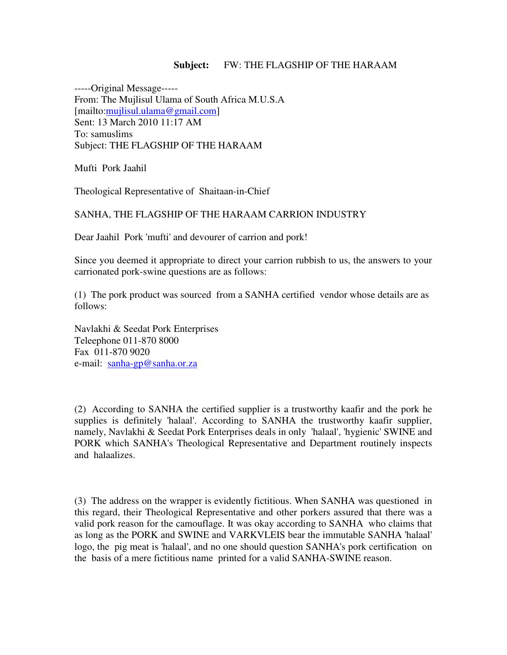## **Subject:** FW: THE FLAGSHIP OF THE HARAAM

-----Original Message----- From: The Mujlisul Ulama of South Africa M.U.S.A [mailto:mujlisul.ulama@gmail.com] Sent: 13 March 2010 11:17 AM To: samuslims Subject: THE FLAGSHIP OF THE HARAAM

Mufti Pork Jaahil

Theological Representative of Shaitaan-in-Chief

## SANHA, THE FLAGSHIP OF THE HARAAM CARRION INDUSTRY

Dear Jaahil Pork 'mufti' and devourer of carrion and pork!

Since you deemed it appropriate to direct your carrion rubbish to us, the answers to your carrionated pork-swine questions are as follows:

(1) The pork product was sourced from a SANHA certified vendor whose details are as follows:

Navlakhi & Seedat Pork Enterprises Teleephone 011-870 8000 Fax 011-870 9020 e-mail: sanha-gp@sanha.or.za

(2) According to SANHA the certified supplier is a trustworthy kaafir and the pork he supplies is definitely 'halaal'. According to SANHA the trustworthy kaafir supplier, namely, Navlakhi & Seedat Pork Enterprises deals in only 'halaal', 'hygienic' SWINE and PORK which SANHA's Theological Representative and Department routinely inspects and halaalizes.

(3) The address on the wrapper is evidently fictitious. When SANHA was questioned in this regard, their Theological Representative and other porkers assured that there was a valid pork reason for the camouflage. It was okay according to SANHA who claims that as long as the PORK and SWINE and VARKVLEIS bear the immutable SANHA 'halaal' logo, the pig meat is 'halaal', and no one should question SANHA's pork certification on the basis of a mere fictitious name printed for a valid SANHA-SWINE reason.